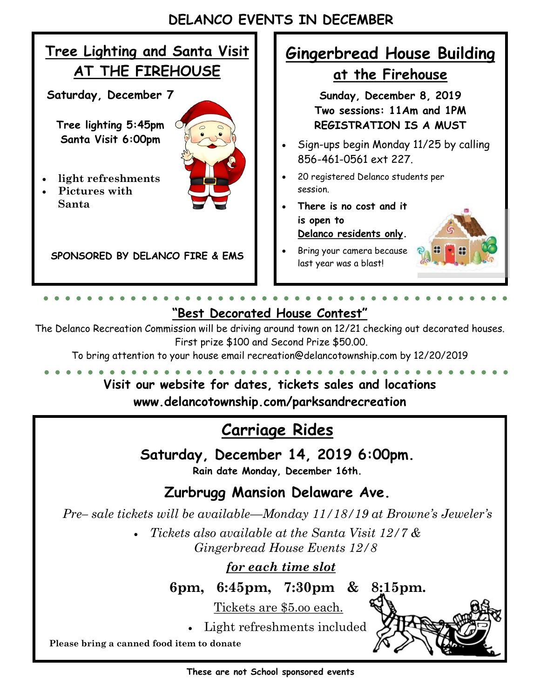### **DELANCO EVENTS IN DECEMBER**



#### **"Best Decorated House Contest"**

The Delanco Recreation Commission will be driving around town on 12/21 checking out decorated houses. First prize \$100 and Second Prize \$50.00.

To bring attention to your house email recreation@delancotownship.com by 12/20/2019

### **Visit our website for dates, tickets sales and locations www.delancotownship.com/parksandrecreation**

### **Carriage Rides**

**Saturday, December 14, 2019 6:00pm. Rain date Monday, December 16th.** 

**Zurbrugg Mansion Delaware Ave.** 

*Pre– sale tickets will be available—Monday 11/18/19 at Browne's Jeweler's*

 *Tickets also available at the Santa Visit 12/7 & Gingerbread House Events 12/8*

 *for each time slot*

**6pm, 6:45pm, 7:30pm & 8:15pm.** 

Tickets are \$5.oo each.

Light refreshments included

**Please bring a canned food item to donate**